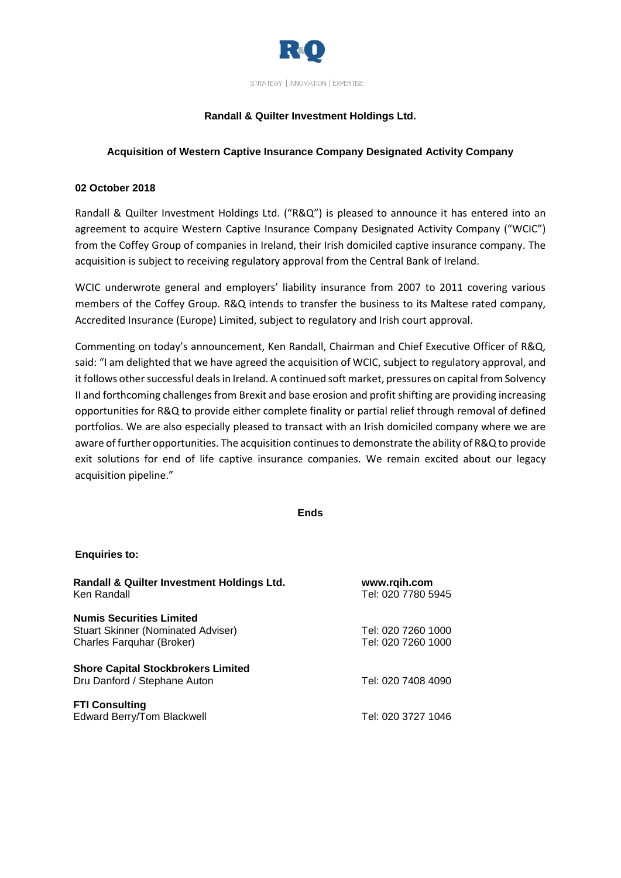

# **Randall & Quilter Investment Holdings Ltd.**

## **Acquisition of Western Captive Insurance Company Designated Activity Company**

### **02 October 2018**

Randall & Quilter Investment Holdings Ltd. ("R&Q") is pleased to announce it has entered into an agreement to acquire Western Captive Insurance Company Designated Activity Company ("WCIC") from the Coffey Group of companies in Ireland, their Irish domiciled captive insurance company. The acquisition is subject to receiving regulatory approval from the Central Bank of Ireland.

WCIC underwrote general and employers' liability insurance from 2007 to 2011 covering various members of the Coffey Group. R&Q intends to transfer the business to its Maltese rated company, Accredited Insurance (Europe) Limited, subject to regulatory and Irish court approval.

Commenting on today's announcement, Ken Randall, Chairman and Chief Executive Officer of R&Q, said: "I am delighted that we have agreed the acquisition of WCIC, subject to regulatory approval, and it follows other successful deals in Ireland. A continued soft market, pressures on capital from Solvency II and forthcoming challenges from Brexit and base erosion and profit shifting are providing increasing opportunities for R&Q to provide either complete finality or partial relief through removal of defined portfolios. We are also especially pleased to transact with an Irish domiciled company where we are aware of further opportunities. The acquisition continues to demonstrate the ability of R&Q to provide exit solutions for end of life captive insurance companies. We remain excited about our legacy acquisition pipeline."

**Ends**

### **Enquiries to:**

| www.rqih.com<br>Tel: 020 7780 5945 |
|------------------------------------|
|                                    |
| Tel: 020 7260 1000                 |
| Tel: 020 7260 1000                 |
|                                    |
| Tel: 020 7408 4090                 |
|                                    |
| Tel: 020 3727 1046                 |
|                                    |